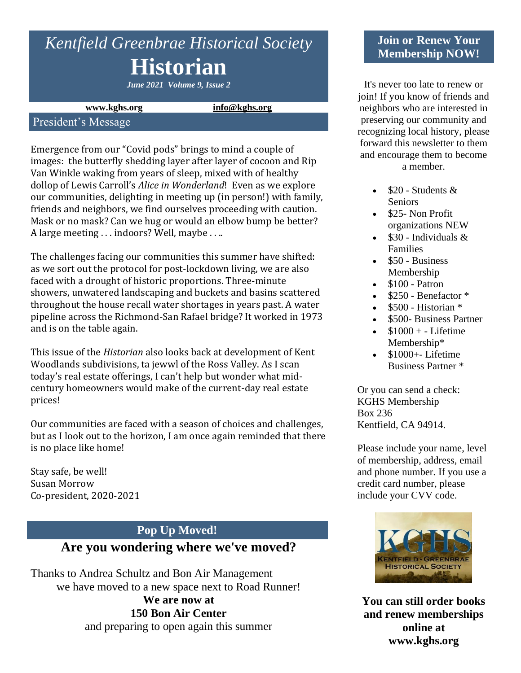# *Kentfield Greenbrae Historical Society* **Historian**

*June 2021 Volume 9, Issue 2*

#### **www.kghs.org [info@kghs.org](mailto:info@kghs.org)**

#### President's Message

Emergence from our "Covid pods" brings to mind a couple of images: the butterfly shedding layer after layer of cocoon and Rip Van Winkle waking from years of sleep, mixed with of healthy dollop of Lewis Carroll's *Alice in Wonderland*! Even as we explore our communities, delighting in meeting up (in person!) with family, friends and neighbors, we find ourselves proceeding with caution. Mask or no mask? Can we hug or would an elbow bump be better? A large meeting . . . indoors? Well, maybe . . ..

The challenges facing our communities this summer have shifted: as we sort out the protocol for post-lockdown living, we are also faced with a drought of historic proportions. Three-minute showers, unwatered landscaping and buckets and basins scattered throughout the house recall water shortages in years past. A water pipeline across the Richmond-San Rafael bridge? It worked in 1973 and is on the table again.

This issue of the *Historian* also looks back at development of Kent Woodlands subdivisions, ta jewwl of the Ross Valley. As I scan today's real estate offerings, I can't help but wonder what midcentury homeowners would make of the current-day real estate prices!

Our communities are faced with a season of choices and challenges, but as I look out to the horizon, I am once again reminded that there is no place like home!

Stay safe, be well! Susan Morrow Co-president, 2020-2021

#### **Pop Up Moved!**

## **Are you wondering where we've moved?**

Thanks to Andrea Schultz and Bon Air Management we have moved to a new space next to Road Runner! **We are now at 150 Bon Air Center** and preparing to open again this summer

#### **Join or Renew Your Membership NOW!**

It's never too late to renew or join! If you know of friends and neighbors who are interested in preserving our community and recognizing local history, please forward this newsletter to them and encourage them to become a member.

- $$20$  Students & Seniors
- \$25- Non Profit organizations NEW
- $$30$  Individuals & Families
- \$50 Business Membership
- $\bullet$  \$100 Patron
- \$250 Benefactor \*
- $$500$  Historian  $*$
- \$500- Business Partner
- $$1000 + Lifetime$ Membership\*
- $\bullet$  \$1000+- Lifetime Business Partner \*

Or you can send a check: KGHS Membership Box 236 Kentfield, CA 94914.

Please include your name, level of membership, address, email and phone number. If you use a credit card number, please include your CVV code.



**You can still order books and renew memberships online at www.kghs.org**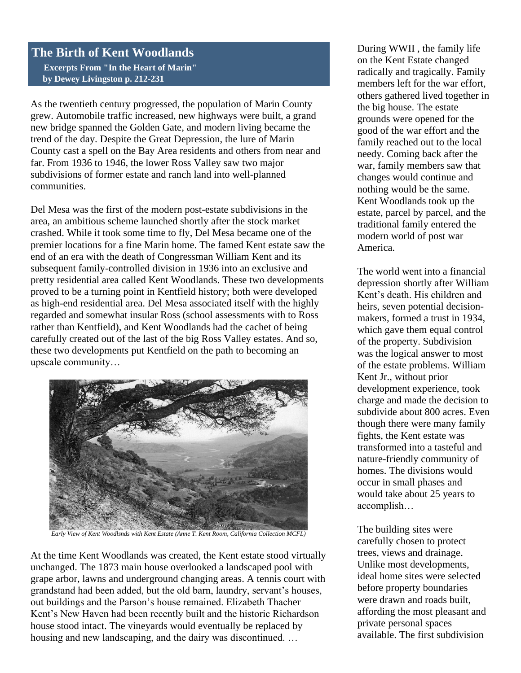### **The Birth of Kent Woodlands**

 **Excerpts From "In the Heart of Marin" by Dewey Livingston p. 212-231**

As the twentieth century progressed, the population of Marin County grew. Automobile traffic increased, new highways were built, a grand new bridge spanned the Golden Gate, and modern living became the trend of the day. Despite the Great Depression, the lure of Marin County cast a spell on the Bay Area residents and others from near and far. From 1936 to 1946, the lower Ross Valley saw two major subdivisions of former estate and ranch land into well-planned communities.

Del Mesa was the first of the modern post-estate subdivisions in the area, an ambitious scheme launched shortly after the stock market crashed. While it took some time to fly, Del Mesa became one of the premier locations for a fine Marin home. The famed Kent estate saw the end of an era with the death of Congressman William Kent and its subsequent family-controlled division in 1936 into an exclusive and pretty residential area called Kent Woodlands. These two developments proved to be a turning point in Kentfield history; both were developed as high-end residential area. Del Mesa associated itself with the highly regarded and somewhat insular Ross (school assessments with to Ross rather than Kentfield), and Kent Woodlands had the cachet of being carefully created out of the last of the big Ross Valley estates. And so, these two developments put Kentfield on the path to becoming an upscale community…



*Early View of Kent Woodlsnds with Kent Estate (Anne T. Kent Room, California Collection MCFL)*

At the time Kent Woodlands was created, the Kent estate stood virtually unchanged. The 1873 main house overlooked a landscaped pool with grape arbor, lawns and underground changing areas. A tennis court with grandstand had been added, but the old barn, laundry, servant's houses, out buildings and the Parson's house remained. Elizabeth Thacher Kent's New Haven had been recently built and the historic Richardson house stood intact. The vineyards would eventually be replaced by housing and new landscaping, and the dairy was discontinued. ...

During WWII , the family life on the Kent Estate changed radically and tragically. Family members left for the war effort, others gathered lived together in the big house. The estate grounds were opened for the good of the war effort and the family reached out to the local needy. Coming back after the war, family members saw that changes would continue and nothing would be the same. Kent Woodlands took up the estate, parcel by parcel, and the traditional family entered the modern world of post war America.

The world went into a financial depression shortly after William Kent's death. His children and heirs, seven potential decisionmakers, formed a trust in 1934, which gave them equal control of the property. Subdivision was the logical answer to most of the estate problems. William Kent Jr., without prior development experience, took charge and made the decision to subdivide about 800 acres. Even though there were many family fights, the Kent estate was transformed into a tasteful and nature-friendly community of homes. The divisions would occur in small phases and would take about 25 years to accomplish…

The building sites were carefully chosen to protect trees, views and drainage. Unlike most developments, ideal home sites were selected before property boundaries were drawn and roads built, affording the most pleasant and private personal spaces available. The first subdivision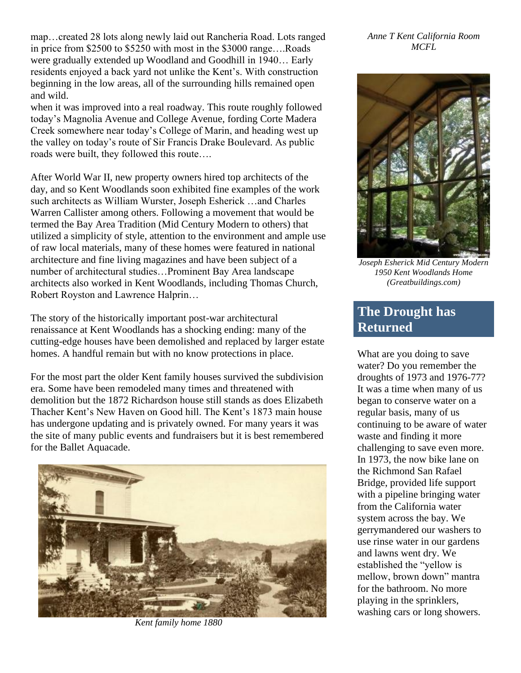map…created 28 lots along newly laid out Rancheria Road. Lots ranged in price from \$2500 to \$5250 with most in the \$3000 range….Roads were gradually extended up Woodland and Goodhill in 1940… Early residents enjoyed a back yard not unlike the Kent's. With construction beginning in the low areas, all of the surrounding hills remained open and wild.

when it was improved into a real roadway. This route roughly followed today's Magnolia Avenue and College Avenue, fording Corte Madera Creek somewhere near today's College of Marin, and heading west up the valley on today's route of Sir Francis Drake Boulevard. As public roads were built, they followed this route….

After World War II, new property owners hired top architects of the day, and so Kent Woodlands soon exhibited fine examples of the work such architects as William Wurster, Joseph Esherick …and Charles Warren Callister among others. Following a movement that would be termed the Bay Area Tradition (Mid Century Modern to others) that utilized a simplicity of style, attention to the environment and ample use of raw local materials, many of these homes were featured in national architecture and fine living magazines and have been subject of a number of architectural studies…Prominent Bay Area landscape architects also worked in Kent Woodlands, including Thomas Church, Robert Royston and Lawrence Halprin…

The story of the historically important post-war architectural renaissance at Kent Woodlands has a shocking ending: many of the cutting-edge houses have been demolished and replaced by larger estate homes. A handful remain but with no know protections in place.

For the most part the older Kent family houses survived the subdivision era. Some have been remodeled many times and threatened with demolition but the 1872 Richardson house still stands as does Elizabeth Thacher Kent's New Haven on Good hill. The Kent's 1873 main house has undergone updating and is privately owned. For many years it was the site of many public events and fundraisers but it is best remembered for the Ballet Aquacade.



*Kent family home 1880*

*Anne T Kent California Room MCFL*



*Joseph Esherick Mid Century Modern 1950 Kent Woodlands Home (Greatbuildings.com)*

# **The Drought has Returned**

What are you doing to save water? Do you remember the droughts of 1973 and 1976-77? It was a time when many of us began to conserve water on a regular basis, many of us continuing to be aware of water waste and finding it more challenging to save even more. In 1973, the now bike lane on the Richmond San Rafael Bridge, provided life support with a pipeline bringing water from the California water system across the bay. We gerrymandered our washers to use rinse water in our gardens and lawns went dry. We established the "yellow is mellow, brown down" mantra for the bathroom. No more playing in the sprinklers, washing cars or long showers.